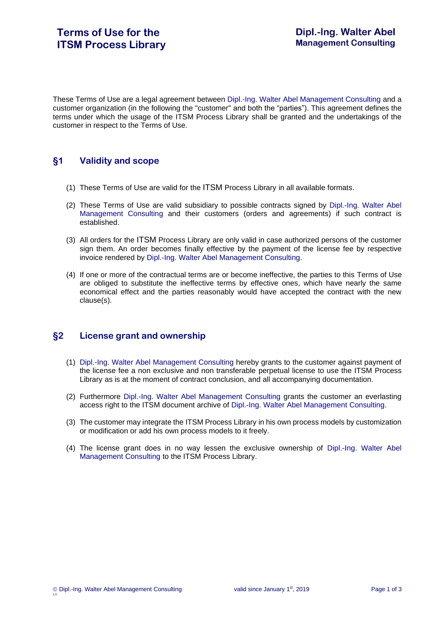These Terms of Use are a legal agreement between Dipl.-Ing. Walter Abel Management Consulting and a customer organization (in the following the "customer" and both the "parties"). This agreement defines the terms under which the usage of the ITSM Process Library shall be granted and the undertakings of the customer in respect to the Terms of Use.

## **§1 Validity and scope**

- (1) These Terms of Use are valid for the ITSM Process Library in all available formats.
- (2) These Terms of Use are valid subsidiary to possible contracts signed by Dipl.-Ing. Walter Abel Management Consulting and their customers (orders and agreements) if such contract is established.
- (3) All orders for the ITSM Process Library are only valid in case authorized persons of the customer sign them. An order becomes finally effective by the payment of the license fee by respective invoice rendered by Dipl.-Ing. Walter Abel Management Consulting.
- (4) If one or more of the contractual terms are or become ineffective, the parties to this Terms of Use are obliged to substitute the ineffective terms by effective ones, which have nearly the same economical effect and the parties reasonably would have accepted the contract with the new clause(s).

# **§2 License grant and ownership**

- (1) Dipl.-Ing. Walter Abel Management Consulting hereby grants to the customer against payment of the license fee a non exclusive and non transferable perpetual license to use the ITSM Process Library as is at the moment of contract conclusion, and all accompanying documentation.
- (2) Furthermore Dipl.-Ing. Walter Abel Management Consulting grants the customer an everlasting access right to the ITSM document archive of Dipl.-Ing. Walter Abel Management Consulting.
- (3) The customer may integrate the ITSM Process Library in his own process models by customization or modification or add his own process models to it freely.
- (4) The license grant does in no way lessen the exclusive ownership of Dipl.-Ing. Walter Abel Management Consulting to the ITSM Process Library.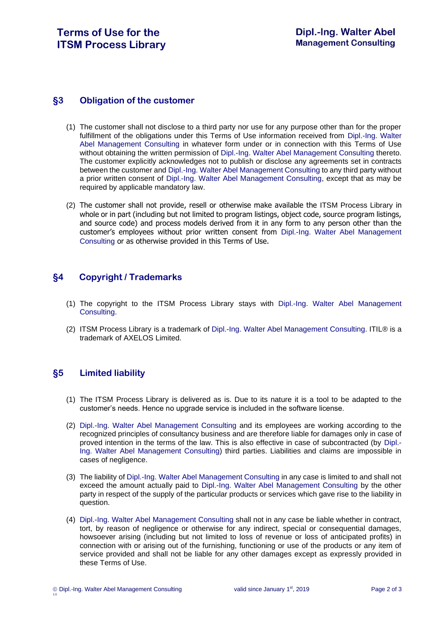#### **§3 Obligation of the customer**

- (1) The customer shall not disclose to a third party nor use for any purpose other than for the proper fulfillment of the obligations under this Terms of Use information received from Dipl.-Ing. Walter Abel Management Consulting in whatever form under or in connection with this Terms of Use without obtaining the written permission of Dipl.-Ing. Walter Abel Management Consulting thereto. The customer explicitly acknowledges not to publish or disclose any agreements set in contracts between the customer and Dipl.-Ing. Walter Abel Management Consulting to any third party without a prior written consent of Dipl.-Ing. Walter Abel Management Consulting, except that as may be required by applicable mandatory law.
- (2) The customer shall not provide, resell or otherwise make available the ITSM Process Library in whole or in part (including but not limited to program listings, object code, source program listings, and source code) and process models derived from it in any form to any person other than the customer's employees without prior written consent from Dipl.-Ing. Walter Abel Management Consulting or as otherwise provided in this Terms of Use.

### **§4 Copyright / Trademarks**

- (1) The copyright to the ITSM Process Library stays with Dipl.-Ing. Walter Abel Management Consulting.
- (2) ITSM Process Library is a trademark of Dipl.-Ing. Walter Abel Management Consulting. ITIL® is a trademark of AXELOS Limited.

### **§5 Limited liability**

- (1) The ITSM Process Library is delivered as is. Due to its nature it is a tool to be adapted to the customer's needs. Hence no upgrade service is included in the software license.
- (2) Dipl.-Ing. Walter Abel Management Consulting and its employees are working according to the recognized principles of consultancy business and are therefore liable for damages only in case of proved intention in the terms of the law. This is also effective in case of subcontracted (by Dipl.- Ing. Walter Abel Management Consulting) third parties. Liabilities and claims are impossible in cases of negligence.
- (3) The liability of Dipl.-Ing. Walter Abel Management Consulting in any case is limited to and shall not exceed the amount actually paid to Dipl.-Ing. Walter Abel Management Consulting by the other party in respect of the supply of the particular products or services which gave rise to the liability in question.
- (4) Dipl.-Ing. Walter Abel Management Consulting shall not in any case be liable whether in contract, tort, by reason of negligence or otherwise for any indirect, special or consequential damages, howsoever arising (including but not limited to loss of revenue or loss of anticipated profits) in connection with or arising out of the furnishing, functioning or use of the products or any item of service provided and shall not be liable for any other damages except as expressly provided in these Terms of Use.